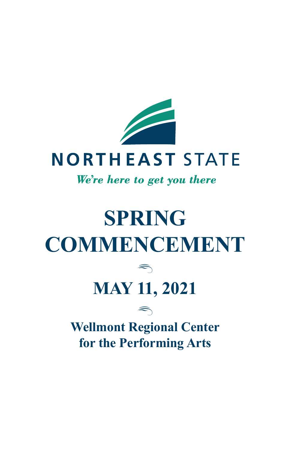

## We're here to get you there

# **SPRING COMMENCEMENT**  $\bigcirc$ **MAY 11, 2021**  $\Rightarrow$ **Wellmont Regional Center for the Performing Arts**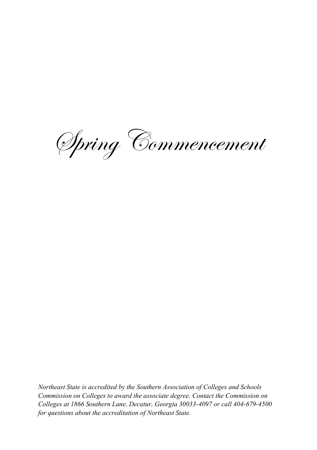Spring Commencement

*Northeast State is accredited by the Southern Association of Colleges and Schools Commission on Colleges to award the associate degree. Contact the Commission on Colleges at 1866 Southern Lane, Decatur, Georgia 30033-4097 or call 404-679-4500 for questions about the accreditation of Northeast State.*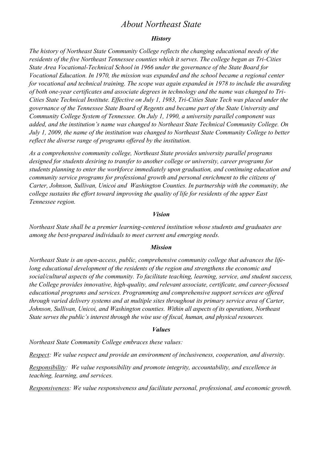### *About Northeast State*

#### *History*

*The history of Northeast State Community College reflects the changing educational needs of the residents of the five Northeast Tennessee counties which it serves. The college began as Tri-Cities State Area Vocational-Technical School in 1966 under the governance of the State Board for Vocational Education. In 1970, the mission was expanded and the school became a regional center for vocational and technical training. The scope was again expanded in 1978 to include the awarding of both one-year certificates and associate degrees in technology and the name was changed to Tri-Cities State Technical Institute. Effective on July 1, 1983, Tri-Cities State Tech was placed under the governance of the Tennessee State Board of Regents and became part of the State University and Community College System of Tennessee. On July 1, 1990, a university parallel component was added, and the institution's name was changed to Northeast State Technical Community College. On July 1, 2009, the name of the institution was changed to Northeast State Community College to better reflect the diverse range of programs offered by the institution.*

*As a comprehensive community college, Northeast State provides university parallel programs designed for students desiring to transfer to another college or university, career programs for students planning to enter the workforce immediately upon graduation, and continuing education and community service programs for professional growth and personal enrichment to the citizens of Carter, Johnson, Sullivan, Unicoi and Washington Counties. In partnership with the community, the college sustains the effort toward improving the quality of life for residents of the upper East Tennessee region.*

#### *Vision*

*Northeast State shall be a premier learning-centered institution whose students and graduates are among the best-prepared individuals to meet current and emerging needs.*

#### *Mission*

*Northeast State is an open-access, public, comprehensive community college that advances the lifelong educational development of the residents of the region and strengthens the economic and social/cultural aspects of the community. To facilitate teaching, learning, service, and student success, the College provides innovative, high-quality, and relevant associate, certificate, and career-focused educational programs and services. Programming and comprehensive support services are offered through varied delivery systems and at multiple sites throughout its primary service area of Carter, Johnson, Sullivan, Unicoi, and Washington counties. Within all aspects of its operations, Northeast State serves the public's interest through the wise use of fiscal, human, and physical resources.*

#### *Values*

*Northeast State Community College embraces these values:*

*Respect: We value respect and provide an environment of inclusiveness, cooperation, and diversity.*

*Responsibility: We value responsibility and promote integrity, accountability, and excellence in teaching, learning, and services.*

*Responsiveness: We value responsiveness and facilitate personal, professional, and economic growth.*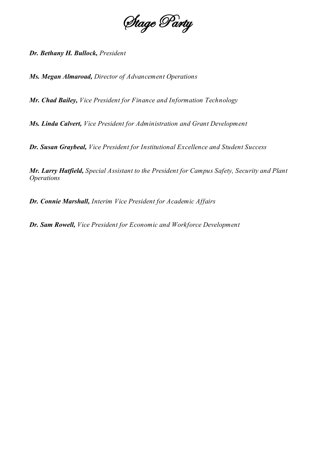

*Dr. Bethany H. Bullock, President*

*Ms. Megan Almaroad, Director of Advancement Operations*

*Mr. Chad Bailey, Vice President for Finance and Information Technology*

*Ms. Linda Calvert, Vice President for Administration and Grant Development*

*Dr. Susan Graybeal, Vice President for Institutional Excellence and Student Success*

*Mr. Larry Hatfield, Special Assistant to the President for Campus Safety, Security and Plant Operations*

*Dr. Connie Marshall, Interim Vice President for Academic Affairs*

*Dr. Sam Rowell, Vice President for Economic and Workforce Development*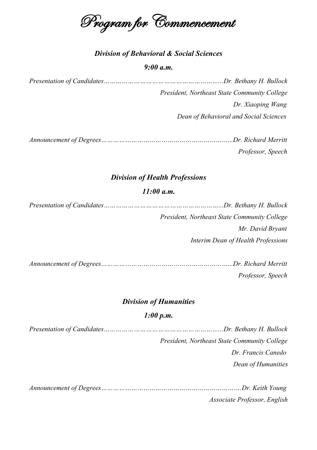Program for Commencement

### *Division of Behavioral & Social Sciences*

#### *9:00 a.m.*

| President, Northeast State Community College |
|----------------------------------------------|
| Dr. Xiaoping Wang                            |
| Dean of Behavioral and Social Sciences       |

| Professor, Speech |
|-------------------|

#### *Division of Health Professions*

#### *11:00 a.m.*

| President, Northeast State Community College |  |
|----------------------------------------------|--|
| Mr. David Bryant                             |  |
| Interim Dean of Health Professions           |  |

*Announcement of Degrees………………………………………………………...Dr. Richard Merritt Professor, Speech*

#### *Division of Humanities*

#### *1:00 p.m.*

*Presentation of Candidates…………………………………………………...Dr. Bethany H. Bullock President, Northeast State Community College Dr. Francis Canedo Dean of Humanities*

*Announcement of Degrees…………………………………………………………….Dr. Keith Young Associate Professor, English*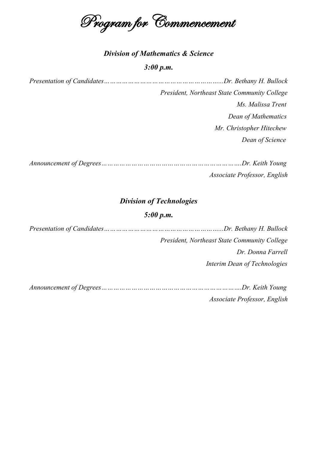Program for Commencement

#### *Division of Mathematics & Science*

#### *3:00 p.m.*

*Presentation of Candidates…………………………………………………...Dr. Bethany H. Bullock President, Northeast State Community College Ms. Malissa Trent Dean of Mathematics Mr. Christopher Hitechew Dean of Science*

*Announcement of Degrees…………………………………………………………….Dr. Keith Young Associate Professor, English*

#### *Division of Technologies*

#### *5:00 p.m.*

| President, Northeast State Community College |
|----------------------------------------------|
| Dr. Donna Farrell                            |
| Interim Dean of Technologies                 |
|                                              |
| $T = T$ , $T = T$                            |

*Announcement of Degrees…………………………………………………………….Dr. Keith Young Associate Professor, English*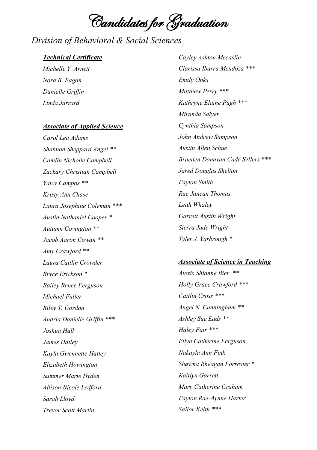Candidates for Graduation

## *Division of Behavioral & Social Sciences*

#### *Technical Certificate*

*Michelle Y. Arnett Nora B. Fagan Danielle Griffin Linda Jarrard*

#### *Associate of Applied Science*

*Carol Lea Adams Shannon Sheppard Angel \*\* Camlin Nicholle Campbell Zackary Christian Campbell Yaicy Campos \*\* Kristy Ann Chase Laura Josephine Coleman \*\*\* Austin Nathaniel Cooper \* Autumn Covington \*\* Jacob Aaron Cowan \*\* Amy Crawford \*\* Laura Caitlin Crowder Bryce Erickson \* Bailey Renee Ferguson Michael Fuller Riley T. Gordon Andria Danielle Griffin \*\*\* Joshua Hall James Hatley Kayla Gwennette Hatley Elizabeth Howington Summer Marie Hyden Allison Nicole Ledford Sarah Lloyd Trevor Scott Martin*

*Cayley Ashton Mccaslin Clarissa Ibarra Mendoza \*\*\* Emily Onks Matthew Perry \*\*\* Kathryne Elaine Pugh \*\*\* Miranda Salyer Cynthia Sampson John Andrew Sampson Austin Allen Schue Braeden Donavan Cade Sellers \*\*\* Jared Douglas Shelton Payton Smith Rae Janean Thomas Leah Whaley Garrett Austin Wright Sierra Jade Wright Tyler J. Yarbrough \**

#### *Associate of Science in Teaching*

*Alexis Shianne Bier \*\* Holly Grace Crawford \*\*\* Caitlin Cross \*\*\* Angel N. Cunningham \*\* Ashley Sue Eads \*\* Haley Fair \*\*\* Ellyn Catherine Ferguson Nakayla Ann Fink Shawna Rheagan Forrester \* Kaitlyn Garrett Mary Catherine Graham Payton Rae-Aynne Harter Sailor Keith \*\*\**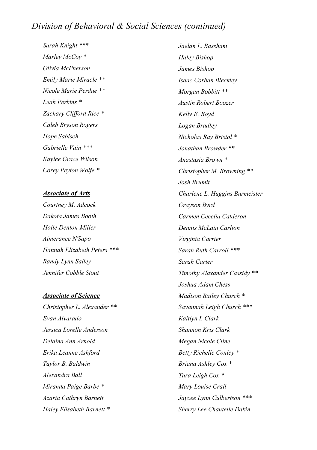## *Division of Behavioral & Social Sciences (continued)*

*Sarah Knight \*\*\* Marley McCoy \* Olivia McPherson Emily Marie Miracle \*\* Nicole Marie Perdue \*\* Leah Perkins \* Zachary Clifford Rice \* Caleb Bryson Rogers Hope Sabisch Gabrielle Vain \*\*\* Kaylee Grace Wilson Corey Peyton Wolfe \**

#### *Associate of Arts*

*Courtney M. Adcock Dakota James Booth Holle Denton-Miller Aimerance N'Sapo Hannah Elizabeth Peters \*\*\* Randy Lynn Salley Jennifer Cobble Stout*

#### *Associate of Science*

*Christopher L. Alexander \*\* Evan Alvarado Jessica Lorelle Anderson Delaina Ann Arnold Erika Leanne Ashford Taylor B. Baldwin Alexandra Ball Miranda Paige Barbe \* Azaria Cathryn Barnett Haley Elisabeth Barnett \**

*Jaelan L. Bassham Haley Bishop James Bishop Isaac Corban Bleckley Morgan Bobbitt \*\* Austin Robert Boozer Kelly E. Boyd Logan Bradley Nicholas Ray Bristol \* Jonathan Browder \*\* Anastasia Brown \* Christopher M. Browning \*\* Josh Brumit Charlene L. Huggins Burmeister Grayson Byrd Carmen Cecelia Calderon Dennis McLain Carlton Virginia Carrier Sarah Ruth Carroll \*\*\* Sarah Carter Timothy Alaxander Cassidy \*\* Joshua Adam Chess Madison Bailey Church \* Savannah Leigh Church \*\*\* Kaitlyn I. Clark Shannon Kris Clark Megan Nicole Cline Betty Richelle Conley \* Briana Ashley Cox \* Tara Leigh Cox \* Mary Louise Crall Jaycee Lynn Culbertson \*\*\* Sherry Lee Chantelle Dakin*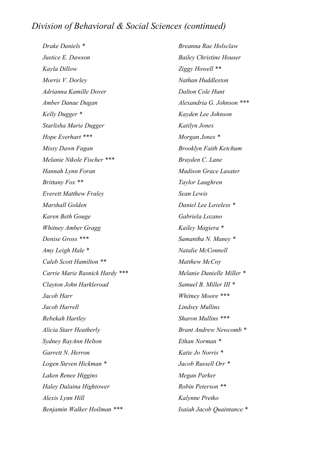## *Division of Behavioral & Social Sciences (continued)*

*Drake Daniels \* Justice E. Dawson Kayla Dillow Morris V. Dorley Adrianna Kamille Dover Amber Danae Dugan Kelly Dugger \* Starlisha Marie Dugger Hope Everhart \*\*\* Missy Dawn Fagan Melanie Nikole Fischer \*\*\* Hannah Lynn Foran Brittany Fox \*\* Everett Matthew Fraley Marshall Golden Karen Beth Gouge Whitney Amber Gragg Denise Gross \*\*\* Amy Leigh Hale \* Caleb Scott Hamilton \*\* Carrie Marie Rasnick Hardy \*\*\* Clayton John Harkleroad Jacob Harr Jacob Harrell Rebekah Hartley Alicia Starr Heatherly Sydney RayAnn Helton Garrett N. Herron Logen Steven Hickman \* Laken Renee Higgins Haley Dalaina Hightower Alexis Lynn Hill Benjamin Walker Hoilman \*\*\**

*Breanna Rae Holsclaw Bailey Christine Houser Ziggy Howell \*\* Nathan Huddleston Dalton Cole Hunt Alexandria G. Johnson \*\*\* Kayden Lee Johnson Katilyn Jones Morgan Jones \* Brooklyn Faith Ketchum Brayden C. Lane Madison Grace Lasater Taylor Laughren Sean Lewis Daniel Lee Loveless \* Gabriela Lozano Kailey Magiera \* Samantha N. Maney \* Natalie McConnell Matthew McCoy Melanie Danielle Miller \* Samuel B. Miller III \* Whitney Moore \*\*\* Lindsey Mullins Sharon Mullins \*\*\* Brant Andrew Newcomb \* Ethan Norman \* Katie Jo Norris \* Jacob Russell Orr \* Megan Parker Robin Peterson \*\* Kalynne Pretko Isaiah Jacob Quaintance \**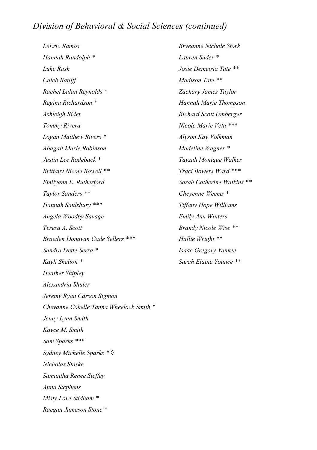## *Division of Behavioral & Social Sciences (continued)*

*LeEric Ramos Hannah Randolph \* Luke Rash Caleb Ratliff Rachel Lalan Reynolds \* Regina Richardson \* Ashleigh Rider Tommy Rivera Logan Matthew Rivers \* Abagail Marie Robinson Justin Lee Rodeback \* Brittany Nicole Rowell \*\* Emilyann E. Rutherford Taylor Sanders \*\* Hannah Saulsbury \*\*\* Angela Woodby Savage Teresa A. Scott Braeden Donavan Cade Sellers \*\*\* Sandra Ivette Serra \* Kayli Shelton \* Heather Shipley Alexandria Shuler Jeremy Ryan Carson Sigmon Cheyanne Cokelle Tanna Wheelock Smith \* Jenny Lynn Smith Kayce M. Smith Sam Sparks \*\*\* Sydney Michelle Sparks \* ◊ Nicholas Starke Samantha Renee Steffey Anna Stephens Misty Love Stidham \* Raegan Jameson Stone \**

*Bryeanne Nichole Stork Lauren Suder \* Josie Demetria Tate \*\* Madison Tate \*\* Zachary James Taylor Hannah Marie Thompson Richard Scott Umberger Nicole Marie Veta \*\*\* Alyson Kay Volkman Madeline Wagner \* Tayzah Monique Walker Traci Bowers Ward \*\*\* Sarah Catherine Watkins \*\* Cheyenne Weems \* Tiffany Hope Williams Emily Ann Winters Brandy Nicole Wise \*\* Hallie Wright \*\* Isaac Gregory Yankee Sarah Elaine Younce \*\**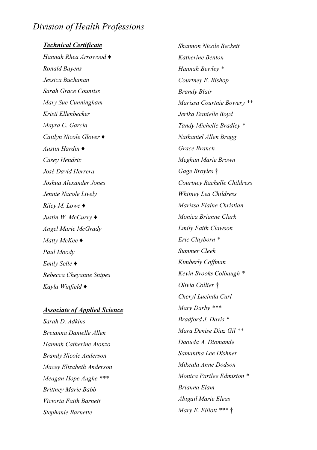## *Division of Health Professions*

*Technical Certificate Hannah Rhea Arrowood* ♦ *Ronald Bayens Jessica Buchanan Sarah Grace Countiss Mary Sue Cunningham Kristi Ellenbecker Mayra C. Garcia Caitlyn Nicole Glover* ♦ *Austin Hardin* ♦ *Casey Hendrix José David Herrera Joshua Alexander Jones Jennie Nacole Lively Riley M. Lowe* ♦ *Justin W. McCurry* ♦ *Angel Marie McGrady Matty McKee* ♦ *Paul Moody Emily Selle* ♦ *Rebecca Cheyanne Snipes Kayla Winfield* ♦

#### *Associate of Applied Science*

*Sarah D. Adkins Breianna Danielle Allen Hannah Catherine Alonzo Brandy Nicole Anderson Macey Elizabeth Anderson Meagan Hope Aughe \*\*\* Brittney Marie Babb Victoria Faith Barnett Stephanie Barnette*

*Shannon Nicole Beckett Katherine Benton Hannah Bewley \* Courtney E. Bishop Brandy Blair Marissa Courtnie Bowery \*\* Jerika Danielle Boyd Tandy Michelle Bradley \* Nathaniel Allen Bragg Grace Branch Meghan Marie Brown Gage Broyles* † *Courtney Rachelle Childress Whitney Lea Childress Marissa Elaine Christian Monica Brianne Clark Emily Faith Clawson Eric Clayborn \* Summer Cleek Kimberly Coffman Kevin Brooks Colbaugh \* Olivia Collier* † *Cheryl Lucinda Curl Mary Darby \*\*\* Bradford J. Davis \* Mara Denise Diaz Gil \*\* Daouda A. Diomande Samantha Lee Dishner Mikeala Anne Dodson Monica Parilee Edmiston \* Brianna Elam Abigail Marie Eleas Mary E. Elliott \*\*\** †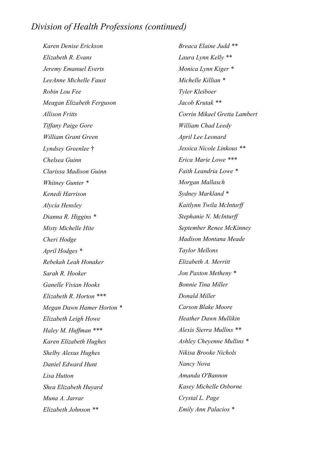## *Division of Health Professions (continued)*

*Karen Denise Erickson Elizabeth R. Evans Jeremy Emanuel Everts LeeAnne Michelle Faust Robin Lou Fee Meagan Elizabeth Ferguson Allison Fritts Tiffany Paige Gore William Grant Green Lyndsey Greenlee* † *Chelsea Guinn Clarissa Madison Guinn Whitney Gunter \* Kenedi Harrison Alycia Hensley Dianna R. Higgins \* Misty Michelle Hite Cheri Hodge April Hodges \* Rebekah Leah Honaker Sarah R. Hooker Ganelle Vivian Hooks Elizabeth R. Horton \*\*\* Megan Dawn Hamer Horton \* Elizabeth Leigh Howe Haley M. Huffman \*\*\* Karen Elizabeth Hughes Shelby Alexus Hughes Daniel Edward Hunt Lisa Hutton Shea Elizabeth Huyard Muna A. Jarrar Elizabeth Johnson \*\**

*Breaca Elaine Judd \*\* Laura Lynn Kelly \*\* Monica Lynn Kiger \* Michelle Killian \* Tyler Kleiboer Jacob Krutak \*\* Corrin Mikael Gretta Lambert William Chad Leedy April Lee Leonard Jessica Nicole Linkous \*\* Erica Marie Lowe \*\*\* Faith Leandria Lowe \* Morgan Mallasch Sydney Markland \* Kaitlynn Twila McInturff Stephanie N. McInturff September Renee McKinney Madison Montana Meade Taylor Mellons Elizabeth A. Merritt Jon Paxton Metheny \* Bonnie Tina Miller Donald Miller Carson Blake Moore Heather Dawn Mullikin Alexis Sierra Mullins \*\* Ashley Cheyenne Mullins \* Nikisa Brooke Nichols Nancy Nova Amanda O'Bannon Kasey Michelle Osborne Crystal L. Page Emily Ann Palacios \**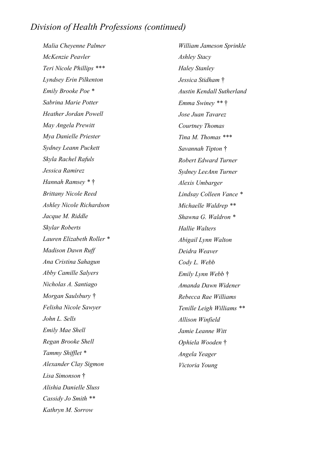## *Division of Health Professions (continued)*

*Malia Cheyenne Palmer McKenzie Peavler Teri Nicole Phillips \*\*\* Lyndsey Erin Pilkenton Emily Brooke Poe \* Sabrina Marie Potter Heather Jordan Powell May Angela Prewitt Mya Danielle Priester Sydney Leann Puckett Skyla Rachel Rafuls Jessica Ramirez Hannah Ramsey \** † *Brittany Nicole Reed Ashley Nicole Richardson Jacque M. Riddle Skylar Roberts Lauren Elizabeth Roller \* Madison Dawn Ruff Ana Cristina Sahagun Abby Camille Salyers Nicholas A. Santiago Morgan Saulsbury* † *Felisha Nicole Sawyer John L. Sells Emily Mae Shell Regan Brooke Shell Tammy Shifflet \* Alexander Clay Sigmon Lisa Simonson* † *Alishia Danielle Sluss Cassidy Jo Smith \*\* Kathryn M. Sorrow*

*William Jameson Sprinkle Ashley Stacy Haley Stanley Jessica Stidham* † *Austin Kendall Sutherland Emma Swiney \*\** † *Jose Juan Tavarez Courtney Thomas Tina M. Thomas \*\*\* Savannah Tipton* † *Robert Edward Turner Sydney LeeAnn Turner Alexis Umbarger Lindsay Colleen Vance \* Michaelle Waldrep \*\* Shawna G. Waldron \* Hallie Walters Abigail Lynn Walton Deidra Weaver Cody L. Webb Emily Lynn Webb* † *Amanda Dawn Widener Rebecca Rae Williams Tenille Leigh Williams \*\* Allison Winfield Jamie Leanne Witt Ophiela Wooden* † *Angela Yeager*

*Victoria Young*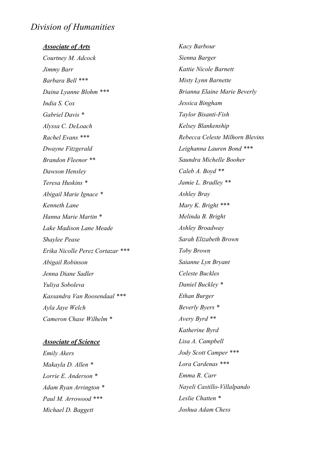## *Division of Humanities*

*Associate of Arts Courtney M. Adcock Jimmy Barr Barbara Bell \*\*\* Daina Lyanne Blohm \*\*\* India S. Cox Gabriel Davis \* Alyssa C. DeLoach Rachel Evans \*\*\* Dwayne Fitzgerald Brandon Fleenor \*\* Dawson Hensley Teresa Huskins \* Abigail Marie Ignace \* Kenneth Lane Hanna Marie Martin \* Lake Madison Lane Meade Shaylee Pease Erika Nicolle Perez Cortazar \*\*\* Abigail Robinson Jenna Diane Sadler Yuliya Soboleva Kassandra Van Roosendaal \*\*\* Ayla Jaye Welch Cameron Chase Wilhelm \**

#### *Associate of Science*

*Emily Akers Makayla D. Allen \* Lorrie E. Anderson \* Adam Ryan Arrington \* Paul M. Arrowood \*\*\* Michael D. Baggett*

*Kacy Barbour Sienna Barger Kattie Nicole Barnett Misty Lynn Barnette Brianna Elaine Marie Beverly Jessica Bingham Taylor Bisanti-Fish Kelsey Blankenship Rebecca Celeste Milhorn Blevins Leighanna Lauren Bond \*\*\* Saundra Michelle Booher Caleb A. Boyd \*\* Jamie L. Bradley \*\* Ashley Bray Mary K. Bright \*\*\* Melinda B. Bright Ashley Broadway Sarah Elizabeth Brown Toby Brown Saianne Lyn Bryant Celeste Buckles Daniel Buckley \* Ethan Burger Beverly Byers \* Avery Byrd \*\* Katherine Byrd Lisa A. Campbell Jody Scott Camper \*\*\* Lora Cardenas \*\*\* Emma R. Carr Nayeli Castillo-Villalpando Leslie Chatten \* Joshua Adam Chess*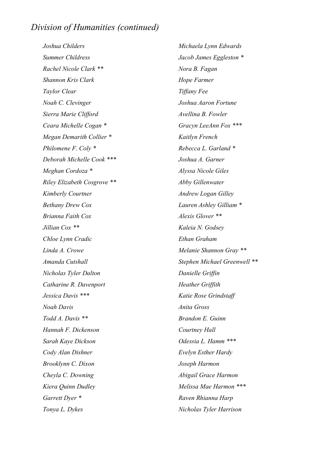*Joshua Childers Summer Childress Rachel Nicole Clark \*\* Shannon Kris Clark Taylor Clear Noah C. Clevinger Sierra Marie Clifford Ceara Michelle Cogan \* Megan Demarith Collier \* Philomene F. Coly \* Deborah Michelle Cook \*\*\* Meghan Cordoza \* Riley Elizabeth Cosgrove \*\* Kimberly Courtner Bethany Drew Cox Brianna Faith Cox Jillian Cox \*\* Chloe Lynn Cradic Linda A. Crowe Amanda Cutshall Nicholas Tyler Dalton Catharine R. Davenport Jessica Davis \*\*\* Noah Davis Todd A. Davis \*\* Hannah F. Dickenson Sarah Kaye Dickson Cody Alan Dishner Brooklynn C. Dixon Cheyla C. Downing Kiera Quinn Dudley Garrett Dyer \* Tonya L. Dykes*

*Michaela Lynn Edwards Jacob James Eggleston \* Nora B. Fagan Hope Farmer Tiffany Fee Joshua Aaron Fortune Avellina B. Fowler Gracyn LeeAnn Fox \*\*\* Kaitlyn French Rebecca L. Garland \* Joshua A. Garner Alyssa Nicole Giles Abby Gillenwater Andrew Logan Gilley Lauren Ashley Gilliam \* Alexis Glover \*\* Kaleia N. Godsey Ethan Graham Melanie Shannon Gray \*\* Stephen Michael Greenwell \*\* Danielle Griffin Heather Griffith Katie Rose Grindstaff Anita Gross Brandon E. Guinn Courtney Hall Odessia L. Hamm \*\*\* Evelyn Esther Hardy Joseph Harmon Abigail Grace Harmon Melissa Mae Harmon \*\*\* Raven Rhianna Harp Nicholas Tyler Harrison*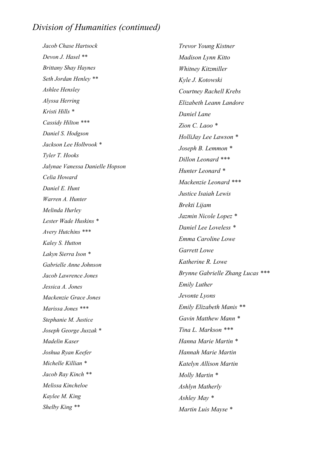*Jacob Chase Hartsock Devon J. Hasel \*\* Brittany Shay Haynes Seth Jordan Henley \*\* Ashlee Hensley Alyssa Herring Kristi Hills \* Cassidy Hilton \*\*\* Daniel S. Hodgson Jackson Lee Holbrook \* Tyler T. Hooks Jalynae Vanessa Danielle Hopson Celia Howard Daniel E. Hunt Warren A. Hunter Melinda Hurley Lester Wade Huskins \* Avery Hutchins \*\*\* Kaley S. Hutton Lakyn Sierra Ison \* Gabrielle Anne Johnson Jacob Lawrence Jones Jessica A. Jones Mackenzie Grace Jones Marissa Jones \*\*\* Stephanie M. Justice Joseph George Juszak \* Madelin Kaser Joshua Ryan Keefer Michelle Killian \* Jacob Ray Kinch \*\* Melissa Kincheloe Kaylee M. King Shelby King \*\**

*Trevor Young Kistner Madison Lynn Kitto Whitney Kitzmiller Kyle J. Kotowski Courtney Rachell Krebs Elizabeth Leann Landore Daniel Lane Zion C. Laoo \* HolliJay Lee Lawson \* Joseph B. Lemmon \* Dillon Leonard \*\*\* Hunter Leonard \* Mackenzie Leonard \*\*\* Justice Isaiah Lewis Brekti Lijam Jazmin Nicole Lopez \* Daniel Lee Loveless \* Emma Caroline Lowe Garrett Lowe Katherine R. Lowe Brynne Gabrielle Zhang Lucas \*\*\* Emily Luther Jevonte Lyons Emily Elizabeth Manis \*\* Gavin Matthew Mann \* Tina L. Markson \*\*\* Hanna Marie Martin \* Hannah Marie Martin Katelyn Allison Martin Molly Martin \* Ashlyn Matherly Ashley May \* Martin Luis Mayse \**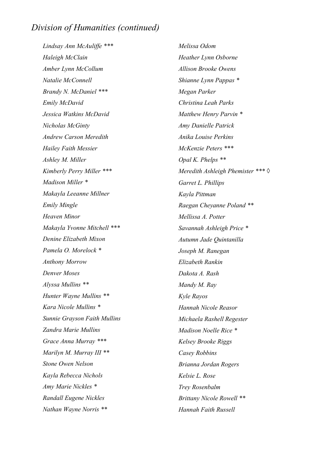*Lindsay Ann McAuliffe \*\*\* Haleigh McClain Amber Lynn McCollum Natalie McConnell Brandy N. McDaniel \*\*\* Emily McDavid Jessica Watkins McDavid Nicholas McGinty Andrew Carson Meredith Hailey Faith Messier Ashley M. Miller Kimberly Perry Miller \*\*\* Madison Miller \* Makayla Leeanne Millner Emily Mingle Heaven Minor Makayla Yvonne Mitchell \*\*\* Denine Elizabeth Mixon Pamela O. Morelock \* Anthony Morrow Denver Moses Alyssa Mullins \*\* Hunter Wayne Mullins \*\* Kara Nicole Mullins \* Sunnie Grayson Faith Mullins Zandra Marie Mullins Grace Anna Murray \*\*\* Marilyn M. Murray III \*\* Stone Owen Nelson Kayla Rebecca Nichols Amy Marie Nickles \* Randall Eugene Nickles Nathan Wayne Norris \*\**

*Melissa Odom Heather Lynn Osborne Allison Brooke Owens Shianne Lynn Pappas \* Megan Parker Christina Leah Parks Matthew Henry Parvin \* Amy Danielle Patrick Anika Louise Perkins McKenzie Peters \*\*\* Opal K. Phelps \*\* Meredith Ashleigh Phemister \*\*\* ◊ Garret L. Phillips Kayla Pittman Raegan Cheyanne Poland \*\* Mellissa A. Potter Savannah Ashleigh Price \* Autumn Jade Quintanilla Joseph M. Ranegan Elizabeth Rankin Dakota A. Rash Mandy M. Ray Kyle Rayos Hannah Nicole Reasor Michaela Rashell Regester Madison Noelle Rice \* Kelsey Brooke Riggs Casey Robbins Brianna Jordan Rogers Kelsie L. Rose Trey Rosenbalm Brittany Nicole Rowell \*\* Hannah Faith Russell*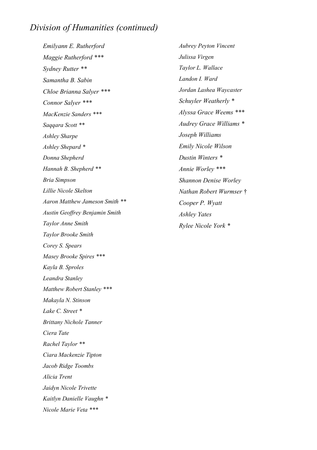*Emilyann E. Rutherford Maggie Rutherford \*\*\* Sydney Rutter \*\* Samantha B. Sabin Chloe Brianna Salyer \*\*\* Connor Salyer \*\*\* MacKenzie Sanders \*\*\* Saqqara Scott \*\* Ashley Sharpe Ashley Shepard \* Donna Shepherd Hannah B. Shepherd \*\* Bria Simpson Lillie Nicole Skelton Aaron Matthew Jameson Smith \*\* Austin Geoffrey Benjamin Smith Taylor Anne Smith Taylor Brooke Smith Corey S. Spears Masey Brooke Spires \*\*\* Kayla B. Sproles Leandra Stanley Matthew Robert Stanley \*\*\* Makayla N. Stinson Lake C. Street \* Brittany Nichole Tanner Ciera Tate Rachel Taylor \*\* Ciara Mackenzie Tipton Jacob Ridge Toombs Alicia Trent Jaidyn Nicole Trivette Kaitlyn Danielle Vaughn \* Nicole Marie Veta \*\*\**

*Aubrey Peyton Vincent Julissa Virgen Taylor L. Wallace Landon I. Ward Jordan Lashea Waycaster Schuyler Weatherly \* Alyssa Grace Weems \*\*\* Audrey Grace Williams \* Joseph Williams Emily Nicole Wilson Dustin Winters \* Annie Worley \*\*\* Shannon Denise Worley Nathan Robert Wurmser* † *Cooper P. Wyatt Ashley Yates Rylee Nicole York \**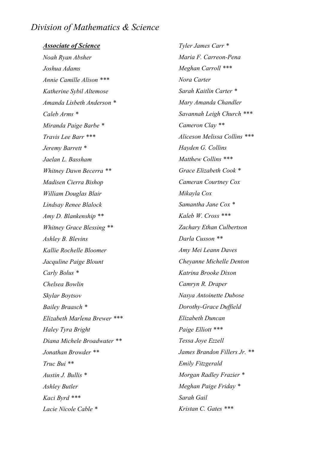## *Division of Mathematics & Science*

*Associate of Science Noah Ryan Absher Joshua Adams Annie Camille Alison \*\*\* Katherine Sybil Altemose Amanda Lisbeth Anderson \* Caleb Arms \* Miranda Paige Barbe \* Travis Lee Barr \*\*\* Jeremy Barrett \* Jaelan L. Bassham Whitney Dawn Becerra \*\* Madisen Cierra Bishop William Douglas Blair Lindsay Renee Blalock Amy D. Blankenship \*\* Whitney Grace Blessing \*\* Ashley B. Blevins Kallie Rochelle Bloomer Jacquline Paige Blount Carly Bolus \* Chelsea Bowlin Skylar Boytsov Bailey Braasch \* Elizabeth Marlena Brewer \*\*\* Haley Tyra Bright Diana Michele Broadwater \*\* Jonathan Browder \*\* Truc Bui \*\* Austin J. Bullis \* Ashley Butler Kaci Byrd \*\*\* Lacie Nicole Cable \**

*Tyler James Carr \* Maria F. Carreon-Pena Meghan Carroll \*\*\* Nora Carter Sarah Kaitlin Carter \* Mary Amanda Chandler Savannah Leigh Church \*\*\* Cameron Clay \*\* Aliceson Melissa Collins \*\*\* Hayden G. Collins Matthew Collins \*\*\* Grace Elizabeth Cook \* Cameran Courtney Cox Mikayla Cox Samantha Jane Cox \* Kaleb W. Cross \*\*\* Zachary Ethan Culbertson Darla Cusson \*\* Amy Mei Leann Daves Cheyanne Michelle Denton Katrina Brooke Dixon Camryn R. Draper Nasya Antoinette Dubose Dorothy-Grace Duffield Elizabeth Duncan Paige Elliott \*\*\* Tessa Joye Ezzell James Brandon Fillers Jr. \*\* Emily Fitzgerald Morgan Radley Frazier \* Meghan Paige Friday \* Sarah Gail Kristan C. Gates \*\*\**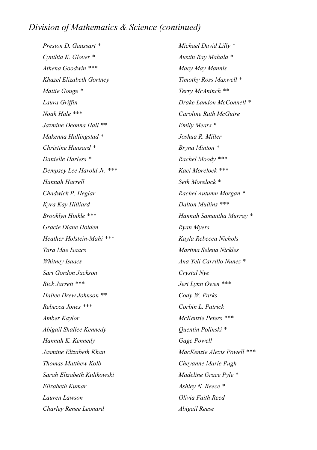## *Division of Mathematics & Science (continued)*

*Preston D. Gaussart \* Cynthia K. Glover \* Athena Goodwin \*\*\* Khazel Elizabeth Gortney Mattie Gouge \* Laura Griffin Noah Hale \*\*\* Jazmine Deonna Hall \*\* Makenna Hallingstad \* Christine Hansard \* Danielle Harless \* Dempsey Lee Harold Jr. \*\*\* Hannah Harrell Chadwick P. Heglar Kyra Kay Hilliard Brooklyn Hinkle \*\*\* Gracie Diane Holden Heather Holstein-Mahi \*\*\* Tara Mae Isaacs Whitney Isaacs Sari Gordon Jackson Rick Jarrett \*\*\* Hailee Drew Johnson \*\* Rebecca Jones \*\*\* Amber Kaylor Abigail Shallee Kennedy Hannah K. Kennedy Jasmine Elizabeth Khan Thomas Matthew Kolb Sarah Elizabeth Kulikowski Elizabeth Kumar Lauren Lawson Charley Renee Leonard*

*Michael David Lilly \* Austin Ray Mahala \* Macy May Mannis Timothy Ross Maxwell \* Terry McAninch \*\* Drake Landon McConnell \* Caroline Ruth McGuire Emily Mears \* Joshua R. Miller Bryna Minton \* Rachel Moody \*\*\* Kaci Morelock \*\*\* Seth Morelock \* Rachel Autumn Morgan \* Dalton Mullins \*\*\* Hannah Samantha Murray \* Ryan Myers Kayla Rebecca Nichols Martina Selena Nickles Ana Yeli Carrillo Nunez \* Crystal Nye Jeri Lynn Owen \*\*\* Cody W. Parks Corbin L. Patrick McKenzie Peters \*\*\* Quentin Polinski \* Gage Powell MacKenzie Alexis Powell \*\*\* Cheyanne Marie Pugh Madeline Grace Pyle \* Ashley N. Reece \* Olivia Faith Reed Abigail Reese*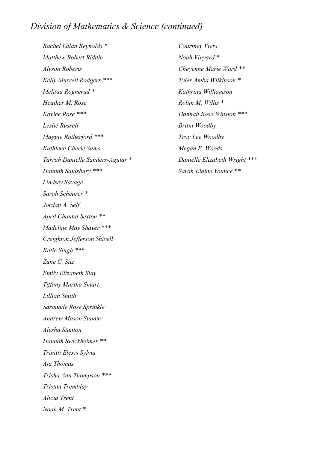## *Division of Mathematics & Science (continued)*

*Rachel Lalan Reynolds \* Matthew Robert Riddle Alyson Roberts Kelly Murrell Rodgers \*\*\* Melissa Rognerud \* Heather M. Rose Kaylee Rose \*\*\* Leslie Russell Maggie Rutherford \*\*\* Kathleen Cherie Sams Tarrah Danielle Sanders-Aguiar \* Hannah Saulsbury \*\*\* Lindsey Savage Sarah Scheurer \* Jordan A. Self April Chantal Sexton \*\* Madeline May Shaver \*\*\* Creighton Jefferson Shivell Katie Singh \*\*\* Zane C. Sitz Emily Elizabeth Slay Tiffany Martha Smart Lillian Smith Saranade Rose Sprinkle Andrew Mason Stamm Alesha Stanton Hannah Swickheimer \*\* Trinitti Elexis Sylvia Aja Thomas Trisha Ann Thompson \*\*\* Tristan Tremblay Alicia Trent Noah M. Trent \**

*Courtney Viers Noah Vinyard \* Cheyenne Marie Ward \*\* Tyler Amba Wilkinson \* Kathrina Williamson Robin M. Willis \* Hannah Rose Winston \*\*\* Britni Woodby Troy Lee Woodby Megan E. Woods Danielle Elizabeth Wright \*\*\* Sarah Elaine Younce \*\**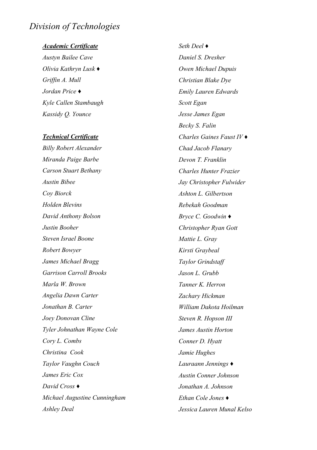## *Division of Technologies*

#### *Academic Certificate*

*Austyn Bailee Cave Olivia Kathryn Lusk ♦ Griffin A. Mull Jordan Price ♦ Kyle Callen Stambaugh Kassidy Q. Younce*

#### *Technical Certificate*

*Billy Robert Alexander Miranda Paige Barbe Carson Stuart Bethany Austin Bibee Coy Biorck Holden Blevins David Anthony Bolson Justin Booher Steven Israel Boone Robert Bowyer James Michael Bragg Garrison Carroll Brooks Marla W. Brown Angelia Dawn Carter Jonathan B. Carter Joey Donovan Cline Tyler Johnathan Wayne Cole Cory L. Combs Christina Cook Taylor Vaughn Couch James Eric Cox David Cross ♦ Michael Augustine Cunningham Ashley Deal*

*Seth Deel ♦ Daniel S. Dresher Owen Michael Dupuis Christian Blake Dye Emily Lauren Edwards Scott Egan Jesse James Egan Becky S. Falin Charles Gaines Faust IV ♦ Chad Jacob Flanary Devon T. Franklin Charles Hunter Frazier Jay Christopher Fulwider Ashton L. Gilbertson Rebekah Goodman Bryce C. Goodwin ♦ Christopher Ryan Gott Mattie L. Gray Kirsti Graybeal Taylor Grindstaff Jason L. Grubb Tanner K. Herron Zachary Hickman William Dakota Hoilman Steven R. Hopson III James Austin Horton Conner D. Hyatt Jamie Hughes Lauraann Jennings ♦ Austin Conner Johnson Jonathan A. Johnson Ethan Cole Jones ♦ Jessica Lauren Munal Kelso*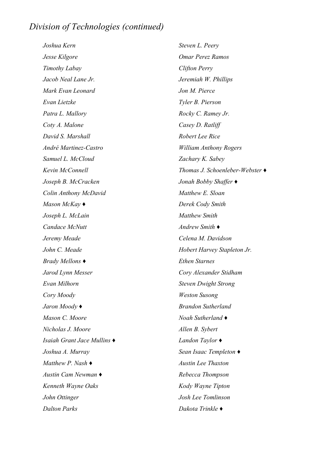*Joshua Kern Jesse Kilgore Timothy Labay Jacob Neal Lane Jr. Mark Evan Leonard Evan Lietzke Patra L. Mallory Coty A. Malone David S. Marshall André Martinez-Castro Samuel L. McCloud Kevin McConnell Joseph B. McCracken Colin Anthony McDavid Mason McKay ♦ Joseph L. McLain Candace McNutt Jeremy Meade John C. Meade Brady Mellons ♦ Jarod Lynn Messer Evan Milhorn Cory Moody Jaron Moody ♦ Mason C. Moore Nicholas J. Moore Isaiah Grant Jace Mullins ♦ Joshua A. Murray Matthew P. Nash ♦ Austin Cam Newman ♦ Kenneth Wayne Oaks John Ottinger Dalton Parks*

*Steven L. Peery Omar Perez Ramos Clifton Perry Jeremiah W. Phillips Jon M. Pierce Tyler B. Pierson Rocky C. Ramey Jr. Casey D. Ratliff Robert Lee Rice William Anthony Rogers Zachary K. Sabey Thomas J. Schoenleber-Webster ♦ Jonah Bobby Shaffer ♦ Matthew E. Sloan Derek Cody Smith Matthew Smith Andrew Smith ♦ Celena M. Davidson Hobert Harvey Stapleton Jr. Ethen Starnes Cory Alexander Stidham Steven Dwight Strong Weston Susong Brandon Sutherland Noah Sutherland ♦ Allen B. Sybert Landon Taylor ♦ Sean Isaac Templeton ♦ Austin Lee Thaxton Rebecca Thompson Kody Wayne Tipton Josh Lee Tomlinson Dakota Trinkle ♦*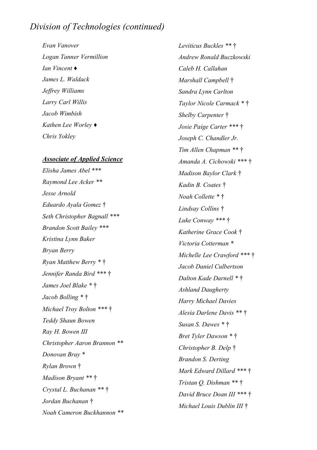*Evan Vanover Logan Tanner Vermillion Ian Vincent ♦ James L. Waldack Jeffrey Williams Larry Carl Willis Jacob Wimbish Kathen Lee Worley ♦ Chris Yokley*

#### *Associate of Applied Science*

*Elisha James Abel \*\*\* Raymond Lee Acker \*\* Jesse Arnold Eduardo Ayala Gomez* † *Seth Christopher Bagnall \*\*\* Brandon Scott Bailey \*\*\* Kristina Lynn Baker Bryan Berry Ryan Matthew Berry \** † *Jennifer Randa Bird \*\*\** † *James Joel Blake \** † *Jacob Bolling \** † *Michael Troy Bolton \*\*\** † *Teddy Shaun Bowen Ray H. Bowen III Christopher Aaron Brannon \*\* Donovan Bray \* Rylan Brown* † *Madison Bryant \*\** † *Crystal L. Buchanan \*\** † *Jordan Buchanan* † *Noah Cameron Buckhannon \*\**

*Leviticus Buckles \*\** † *Andrew Ronald Buczkowski Caleb H. Callahan Marshall Campbell* † *Sandra Lynn Carlton Taylor Nicole Carmack \** † *Shelby Carpenter* † *Josie Paige Carter \*\*\** † *Joseph C. Chandler Jr. Tim Allen Chapman \*\** † *Amanda A. Cichowski \*\*\** † *Madison Baylor Clark* † *Kadin B. Coates* † *Noah Collette \** † *Lindsay Collins* † *Luke Conway \*\*\** † *Katherine Grace Cook* † *Victoria Cotterman \* Michelle Lee Crawford \*\*\** † *Jacob Daniel Culbertson Dalton Kade Darnell \** † *Ashland Daugherty Harry Michael Davies Alesia Darlene Davis \*\** † *Susan S. Dawes \** † *Bret Tyler Dawson \** † *Christopher B. Delp* † *Brandon S. Derting Mark Edward Dillard \*\*\** † *Tristan Q. Dishman \*\** † *David Bruce Doan III \*\*\** † *Michael Louis Dublin III* †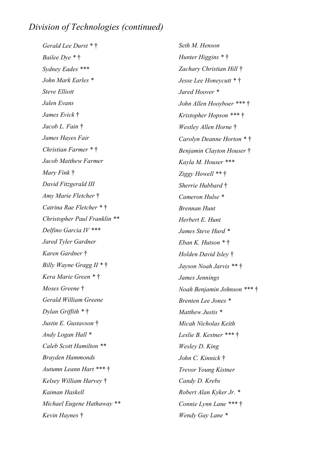*Gerald Lee Durst \** † *Bailee Dye \** † *Sydney Eades \*\*\* John Mark Earles \* Steve Elliott Jalen Evans James Evick* † *Jacob L. Fain* † *James Hayes Fair Christian Farmer \** † *Jacob Matthew Farmer Mary Fink* † *David Fitzgerald III Amy Marie Fletcher* † *Catrina Rae Fletcher \** † *Christopher Paul Franklin \*\* Delfino Garcia IV \*\*\* Jared Tyler Gardner Karen Gardner* † *Billy Wayne Gragg II \** † *Kera Marie Green \** † *Moses Greene* † *Gerald William Greene Dylan Griffith \** † *Justin E. Gustavson* † *Andy Logan Hall \* Caleb Scott Hamilton \*\* Brayden Hammonds Autumn Leann Hart \*\*\** † *Kelsey William Harvey* † *Kaiman Haskell Michael Eugene Hathaway \*\* Kevin Haynes* †

*Seth M. Henson Hunter Higgins \** † *Zachary Christian Hill* † *Jesse Lee Honeycutt \** † *Jared Hoover \* John Allen Hooyboer \*\*\** † *Kristopher Hopson \*\*\** † *Westley Allen Horne* † *Carolyn Deanne Horton \** † *Benjamin Clayton Houser* † *Kayla M. Houser \*\*\* Ziggy Howell \*\** † *Sherrie Hubbard* † *Cameron Hulse \* Brennan Hunt Herbert E. Hunt James Steve Hurd \* Eban K. Hutson \** † *Holden David Isley* † *Jayson Noah Jarvis \*\** † *James Jennings Noah Benjamin Johnson \*\*\** † *Brenten Lee Jones \* Matthew Justis \* Micah Nicholas Keith Leslie B. Kestner \*\*\** † *Wesley D. King John C. Kinnick* † *Trevor Young Kistner Candy D. Krebs Robert Alan Kyker Jr. \* Connie Lynn Lane \*\*\** † *Wendy Gay Lane \**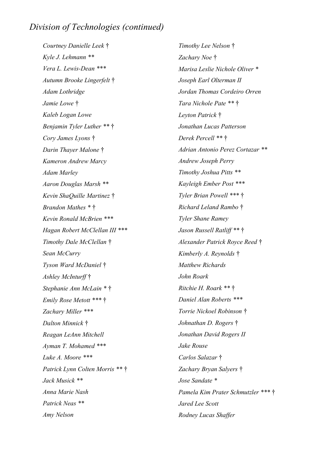*Courtney Danielle Leek* † *Kyle J. Lehmann \*\* Vera L. Lewis-Dean \*\*\* Autumn Brooke Lingerfelt* † *Adam Lothridge Jamie Lowe* † *Kaleb Logan Lowe Benjamin Tyler Luther \*\** † *Cory James Lyons* † *Darin Thayer Malone* † *Kameron Andrew Marcy Adam Marley Aaron Douglas Marsh \*\* Kevin ShaQuille Martinez* † *Brandon Mathes \** † *Kevin Ronald McBrien \*\*\* Hagan Robert McClellan III \*\*\* Timothy Dale McClellan* † *Sean McCurry Tyson Ward McDaniel* † *Ashley McInturff* † *Stephanie Ann McLain \** † *Emily Rose Metott \*\*\** † *Zachary Miller \*\*\* Dalton Minnick* † *Reagan LeAnn Mitchell Ayman T. Mohamed \*\*\* Luke A. Moore \*\*\* Patrick Lynn Colten Morris \*\** † *Jack Musick \*\* Anna Marie Nash Patrick Neas \*\* Amy Nelson*

*Timothy Lee Nelson* † *Zachary Noe* † *Marisa Leslie Nichole Oliver \* Joseph Earl Olterman II Jordan Thomas Cordeiro Orren Tara Nichole Pate \*\** † *Leyton Patrick* † *Jonathan Lucas Patterson Derek Percell \*\** † *Adrian Antonio Perez Cortazar \*\* Andrew Joseph Perry Timothy Joshua Pitts \*\* Kayleigh Ember Post \*\*\* Tyler Brian Powell \*\*\** † *Richard Leland Rambo* † *Tyler Shane Ramey Jason Russell Ratliff \*\** † *Alexander Patrick Royce Reed* † *Kimberly A. Reynolds* † *Matthew Richards John Roark Ritchie H. Roark \*\** † *Daniel Alan Roberts \*\*\* Torrie Nickoel Robinson* † *Johnathan D. Rogers* † *Jonathan David Rogers II Jake Rouse Carlos Salazar* † *Zachary Bryan Salyers* † *Jose Sandate \* Pamela Kim Prater Schmutzler \*\*\** † *Jared Lee Scott Rodney Lucas Shaffer*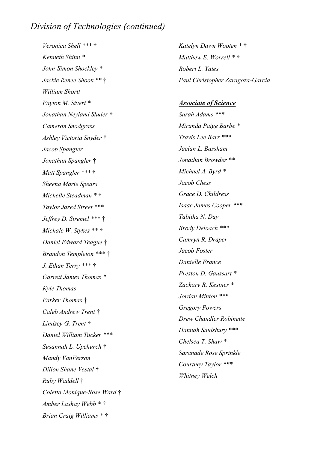*Veronica Shell \*\*\** † *Kenneth Shinn \* John-Simon Shockley \* Jackie Renee Shook \*\** † *William Shortt Payton M. Sivert \* Jonathan Neyland Sluder* † *Cameron Snodgrass Ashley Victoria Snyder* † *Jacob Spangler Jonathan Spangler* † *Matt Spangler \*\*\** † *Sheena Marie Spears Michelle Steadman \** † *Taylor Jared Street \*\*\* Jeffrey D. Stremel \*\*\** † *Michale W. Stykes \*\** † *Daniel Edward Teague* † *Brandon Templeton \*\*\** † *J. Ethan Terry \*\*\** † *Garrett James Thomas \* Kyle Thomas Parker Thomas* † *Caleb Andrew Trent* † *Lindsey G. Trent* † *Daniel William Tucker \*\*\* Susannah L. Upchurch* † *Mandy VanFerson Dillon Shane Vestal* † *Ruby Waddell* † *Coletta Monique-Rose Ward* † *Amber Lashay Webb \** † *Brian Craig Williams \** †

*Katelyn Dawn Wooten \** † *Matthew E. Worrell \** † *Robert L. Yates Paul Christopher Zaragoza-Garcia*

## *Associate of Science Sarah Adams \*\*\* Miranda Paige Barbe \* Travis Lee Barr \*\*\* Jaelan L. Bassham Jonathan Browder \*\* Michael A. Byrd \* Jacob Chess Grace D. Childress Isaac James Cooper \*\*\* Tabitha N. Day Brody Deloach \*\*\* Camryn R. Draper Jacob Foster Danielle France Preston D. Gaussart \* Zachary R. Kestner \* Jordan Minton \*\*\* Gregory Powers Drew Chandler Robinette Hannah Saulsbury \*\*\* Chelsea T. Shaw \* Saranade Rose Sprinkle Courtney Taylor \*\*\* Whitney Welch*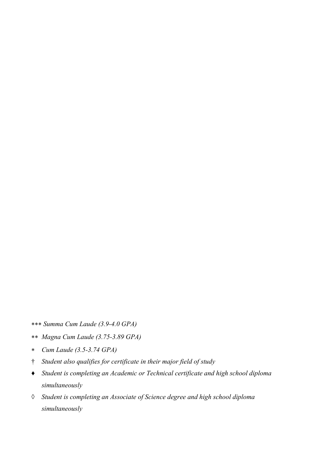- *Summa Cum Laude (3.9-4.0 GPA)*
- *Magna Cum Laude (3.75-3.89 GPA)*
- *Cum Laude (3.5-3.74 GPA)*
- † *Student also qualifies for certificate in their major field of study*
- ♦ *Student is completing an Academic or Technical certificate and high school diploma simultaneously*
- *◊ Student is completing an Associate of Science degree and high school diploma simultaneously*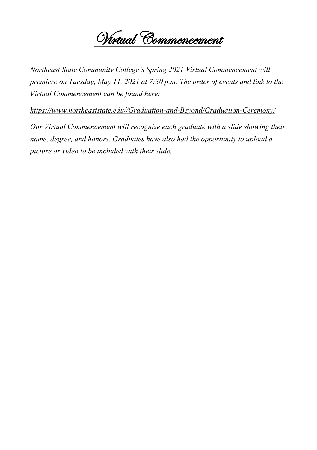

*Northeast State Community College's Spring 2021 Virtual Commencement will premiere on Tuesday, May 11, 2021 at 7:30 p.m. The order of events and link to the Virtual Commencement can be found here:*

*https://www.northeaststate.edu//Graduation-and-Beyond/Graduation-Ceremony/* 

*Our Virtual Commencement will recognize each graduate with a slide showing their name, degree, and honors. Graduates have also had the opportunity to upload a picture or video to be included with their slide.*